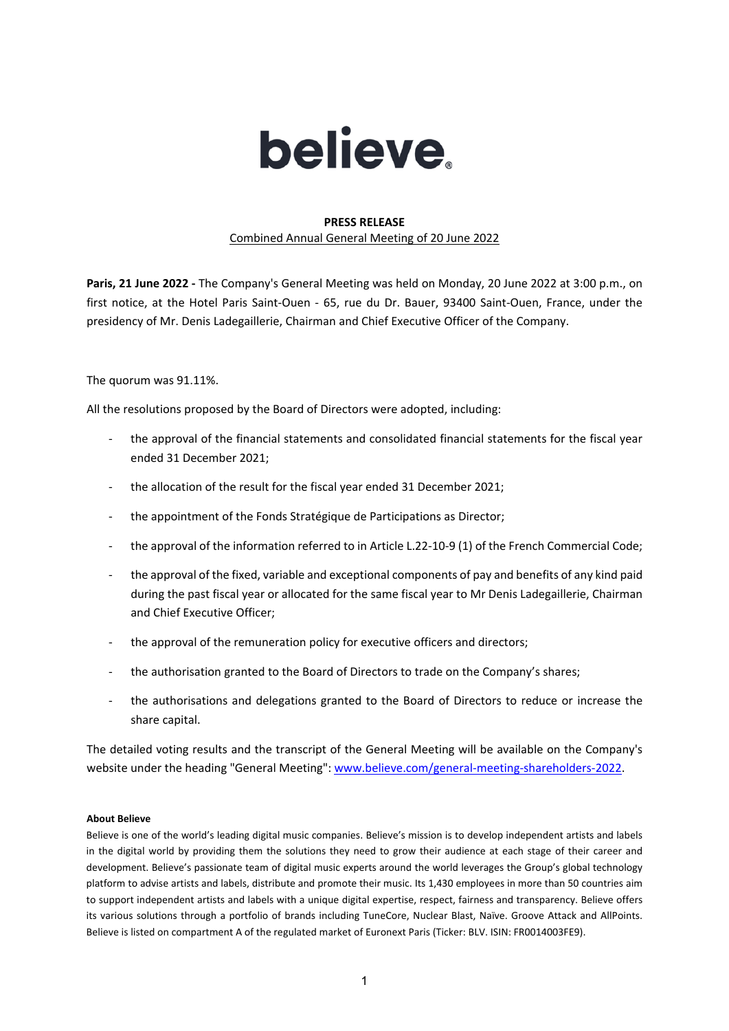

## **PRESS RELEASE** Combined Annual General Meeting of 20 June 2022

**Paris, 21 June 2022 -** The Company's General Meeting was held on Monday, 20 June 2022 at 3:00 p.m., on first notice, at the Hotel Paris Saint-Ouen - 65, rue du Dr. Bauer, 93400 Saint-Ouen, France, under the presidency of Mr. Denis Ladegaillerie, Chairman and Chief Executive Officer of the Company.

The quorum was 91.11%.

All the resolutions proposed by the Board of Directors were adopted, including:

- the approval of the financial statements and consolidated financial statements for the fiscal year ended 31 December 2021;
- the allocation of the result for the fiscal year ended 31 December 2021;
- the appointment of the Fonds Stratégique de Participations as Director;
- the approval of the information referred to in Article L.22-10-9 (1) of the French Commercial Code;
- the approval of the fixed, variable and exceptional components of pay and benefits of any kind paid during the past fiscal year or allocated for the same fiscal year to Mr Denis Ladegaillerie, Chairman and Chief Executive Officer;
- the approval of the remuneration policy for executive officers and directors;
- the authorisation granted to the Board of Directors to trade on the Company's shares;
- the authorisations and delegations granted to the Board of Directors to reduce or increase the share capital.

The detailed voting results and the transcript of the General Meeting will be available on the Company's website under the heading "General Meeting": [www.believe.com/general-meeting-shareholders-2022.](http://www.believe.com/general-meeting-shareholders-2022)

## **About Believe**

Believe is one of the world's leading digital music companies. Believe's mission is to develop independent artists and labels in the digital world by providing them the solutions they need to grow their audience at each stage of their career and development. Believe's passionate team of digital music experts around the world leverages the Group's global technology platform to advise artists and labels, distribute and promote their music. Its 1,430 employees in more than 50 countries aim to support independent artists and labels with a unique digital expertise, respect, fairness and transparency. Believe offers its various solutions through a portfolio of brands including TuneCore, Nuclear Blast, Naïve. Groove Attack and AllPoints. Believe is listed on compartment A of the regulated market of Euronext Paris (Ticker: BLV. ISIN: FR0014003FE9).